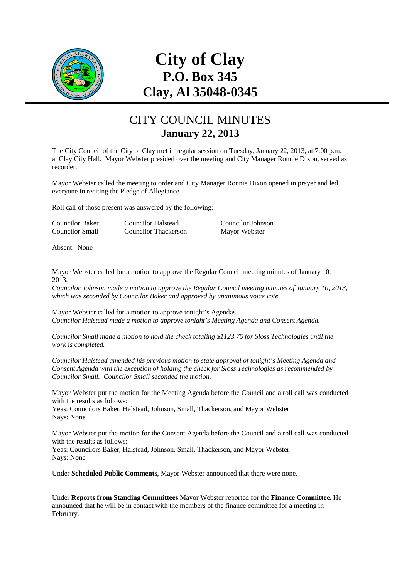

# **City of Clay P.O. Box 345 Clay, Al 35048-0345**

## CITY COUNCIL MINUTES **January 22, 2013**

The City Council of the City of Clay met in regular session on Tuesday, January 22, 2013, at 7:00 p.m. at Clay City Hall. Mayor Webster presided over the meeting and City Manager Ronnie Dixon, served as recorder.

Mayor Webster called the meeting to order and City Manager Ronnie Dixon opened in prayer and led everyone in reciting the Pledge of Allegiance.

Roll call of those present was answered by the following:

| Councilor Baker | Councilor Halstead   | Councilor Johnson |
|-----------------|----------------------|-------------------|
| Councilor Small | Councilor Thackerson | Mayor Webster     |

Absent: None

Mayor Webster called for a motion to approve the Regular Council meeting minutes of January 10, 2013.

*Councilor Johnson made a motion to approve the Regular Council meeting minutes of January 10, 2013, which was seconded by Councilor Baker and approved by unanimous voice vote.* 

Mayor Webster called for a motion to approve tonight's Agendas. *Councilor Halstead made a motion to approve tonight's Meeting Agenda and Consent Agenda.* 

*Councilor Small made a motion to hold the check totaling \$1123.75 for Sloss Technologies until the work is completed.* 

*Councilor Halstead amended his previous motion to state approval of tonight's Meeting Agenda and Consent Agenda with the exception of holding the check for Sloss Technologies as recommended by Councilor Small. Councilor Small seconded the motion.* 

Mayor Webster put the motion for the Meeting Agenda before the Council and a roll call was conducted with the results as follows:

Yeas: Councilors Baker, Halstead, Johnson, Small, Thackerson, and Mayor Webster Nays: None

Mayor Webster put the motion for the Consent Agenda before the Council and a roll call was conducted with the results as follows:

Yeas: Councilors Baker, Halstead, Johnson, Small, Thackerson, and Mayor Webster Nays: None

Under **Scheduled Public Comments**, Mayor Webster announced that there were none.

Under **Reports from Standing Committees** Mayor Webster reported for the **Finance Committee.** He announced that he will be in contact with the members of the finance committee for a meeting in February.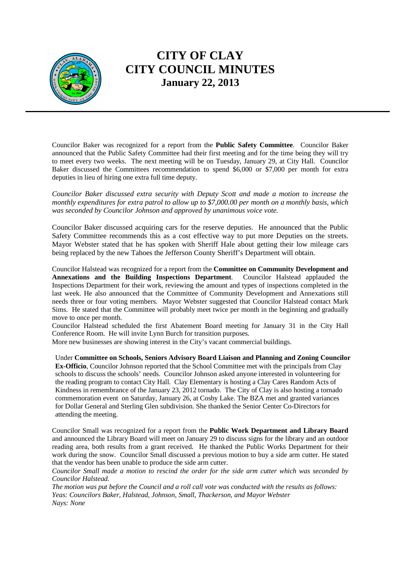

Councilor Baker was recognized for a report from the **Public Safety Committee**. Councilor Baker announced that the Public Safety Committee had their first meeting and for the time being they will try to meet every two weeks. The next meeting will be on Tuesday, January 29, at City Hall. Councilor Baker discussed the Committees recommendation to spend \$6,000 or \$7,000 per month for extra deputies in lieu of hiring one extra full time deputy.

*Councilor Baker discussed extra security with Deputy Scott and made a motion to increase the monthly expenditures for extra patrol to allow up to \$7,000.00 per month on a monthly basis, which was seconded by Councilor Johnson and approved by unanimous voice vote.* 

Councilor Baker discussed acquiring cars for the reserve deputies. He announced that the Public Safety Committee recommends this as a cost effective way to put more Deputies on the streets. Mayor Webster stated that he has spoken with Sheriff Hale about getting their low mileage cars being replaced by the new Tahoes the Jefferson County Sheriff's Department will obtain.

Councilor Halstead was recognized for a report from the **Committee on Community Development and Annexations and the Building Inspections Department**. Councilor Halstead applauded the Inspections Department for their work, reviewing the amount and types of inspections completed in the last week. He also announced that the Committee of Community Development and Annexations still needs three or four voting members. Mayor Webster suggested that Councilor Halstead contact Mark Sims. He stated that the Committee will probably meet twice per month in the beginning and gradually move to once per month.

Councilor Halstead scheduled the first Abatement Board meeting for January 31 in the City Hall Conference Room. He will invite Lynn Burch for transition purposes.

More new businesses are showing interest in the City's vacant commercial buildings.

Under **Committee on Schools, Seniors Advisory Board Liaison and Planning and Zoning Councilor Ex-Officio**, Councilor Johnson reported that the School Committee met with the principals from Clay schools to discuss the schools' needs. Councilor Johnson asked anyone interested in volunteering for the reading program to contact City Hall. Clay Elementary is hosting a Clay Cares Random Acts of Kindness in remembrance of the January 23, 2012 tornado. The City of Clay is also hosting a tornado commemoration event on Saturday, January 26, at Cosby Lake. The BZA met and granted variances for Dollar General and Sterling Glen subdivision. She thanked the Senior Center Co-Directors for attending the meeting.

Councilor Small was recognized for a report from the **Public Work Department and Library Board** and announced the Library Board will meet on January 29 to discuss signs for the library and an outdoor reading area, both results from a grant received. He thanked the Public Works Department for their work during the snow. Councilor Small discussed a previous motion to buy a side arm cutter. He stated that the vendor has been unable to produce the side arm cutter.

*Councilor Small made a motion to rescind the order for the side arm cutter which was seconded by Councilor Halstead.* 

*The motion was put before the Council and a roll call vote was conducted with the results as follows: Yeas: Councilors Baker, Halstead, Johnson, Small, Thackerson, and Mayor Webster Nays: None*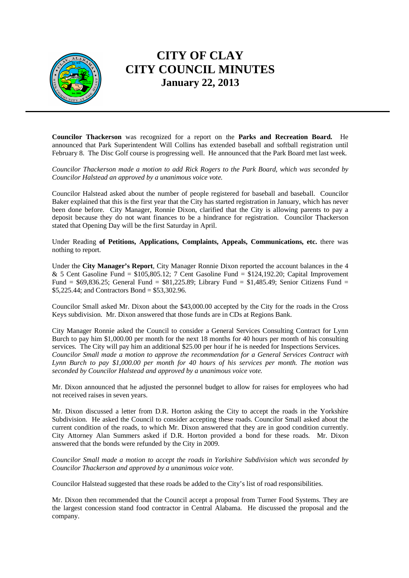

**Councilor Thackerson** was recognized for a report on the **Parks and Recreation Board.** He announced that Park Superintendent Will Collins has extended baseball and softball registration until February 8. The Disc Golf course is progressing well. He announced that the Park Board met last week.

*Councilor Thackerson made a motion to add Rick Rogers to the Park Board, which was seconded by Councilor Halstead an approved by a unanimous voice vote.* 

Councilor Halstead asked about the number of people registered for baseball and baseball. Councilor Baker explained that this is the first year that the City has started registration in January, which has never been done before. City Manager, Ronnie Dixon, clarified that the City is allowing parents to pay a deposit because they do not want finances to be a hindrance for registration. Councilor Thackerson stated that Opening Day will be the first Saturday in April.

Under Reading **of Petitions, Applications, Complaints, Appeals, Communications, etc.** there was nothing to report.

Under the **City Manager's Report**, City Manager Ronnie Dixon reported the account balances in the 4 & 5 Cent Gasoline Fund =  $$105,805.12$ ; 7 Cent Gasoline Fund =  $$124,192.20$ ; Capital Improvement Fund = \$69,836.25; General Fund = \$81,225.89; Library Fund = \$1,485.49; Senior Citizens Fund = \$5,225.44; and Contractors Bond = \$53,302.96.

Councilor Small asked Mr. Dixon about the \$43,000.00 accepted by the City for the roads in the Cross Keys subdivision. Mr. Dixon answered that those funds are in CDs at Regions Bank.

City Manager Ronnie asked the Council to consider a General Services Consulting Contract for Lynn Burch to pay him \$1,000.00 per month for the next 18 months for 40 hours per month of his consulting services. The City will pay him an additional \$25.00 per hour if he is needed for Inspections Services. *Councilor Small made a motion to approve the recommendation for a General Services Contract with Lynn Burch to pay \$1,000.00 per month for 40 hours of his services per month. The motion was seconded by Councilor Halstead and approved by a unanimous voice vote.* 

Mr. Dixon announced that he adjusted the personnel budget to allow for raises for employees who had not received raises in seven years.

Mr. Dixon discussed a letter from D.R. Horton asking the City to accept the roads in the Yorkshire Subdivision. He asked the Council to consider accepting these roads. Councilor Small asked about the current condition of the roads, to which Mr. Dixon answered that they are in good condition currently. City Attorney Alan Summers asked if D.R. Horton provided a bond for these roads. Mr. Dixon answered that the bonds were refunded by the City in 2009.

*Councilor Small made a motion to accept the roads in Yorkshire Subdivision which was seconded by Councilor Thackerson and approved by a unanimous voice vote.* 

Councilor Halstead suggested that these roads be added to the City's list of road responsibilities.

Mr. Dixon then recommended that the Council accept a proposal from Turner Food Systems. They are the largest concession stand food contractor in Central Alabama. He discussed the proposal and the company.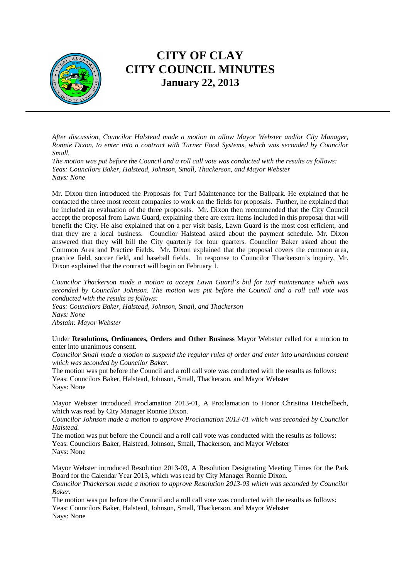

*After discussion, Councilor Halstead made a motion to allow Mayor Webster and/or City Manager, Ronnie Dixon, to enter into a contract with Turner Food Systems, which was seconded by Councilor Small.* 

*The motion was put before the Council and a roll call vote was conducted with the results as follows: Yeas: Councilors Baker, Halstead, Johnson, Small, Thackerson, and Mayor Webster Nays: None* 

Mr. Dixon then introduced the Proposals for Turf Maintenance for the Ballpark. He explained that he contacted the three most recent companies to work on the fields for proposals. Further, he explained that he included an evaluation of the three proposals. Mr. Dixon then recommended that the City Council accept the proposal from Lawn Guard, explaining there are extra items included in this proposal that will benefit the City. He also explained that on a per visit basis, Lawn Guard is the most cost efficient, and that they are a local business. Councilor Halstead asked about the payment schedule. Mr. Dixon answered that they will bill the City quarterly for four quarters. Councilor Baker asked about the Common Area and Practice Fields. Mr. Dixon explained that the proposal covers the common area, practice field, soccer field, and baseball fields. In response to Councilor Thackerson's inquiry, Mr. Dixon explained that the contract will begin on February 1.

*Councilor Thackerson made a motion to accept Lawn Guard's bid for turf maintenance which was seconded by Councilor Johnson. The motion was put before the Council and a roll call vote was conducted with the results as follows:* 

*Yeas: Councilors Baker, Halstead, Johnson, Small, and Thackerson Nays: None Abstain: Mayor Webster* 

Under **Resolutions, Ordinances, Orders and Other Business** Mayor Webster called for a motion to enter into unanimous consent.

*Councilor Small made a motion to suspend the regular rules of order and enter into unanimous consent which was seconded by Councilor Baker.* 

The motion was put before the Council and a roll call vote was conducted with the results as follows: Yeas: Councilors Baker, Halstead, Johnson, Small, Thackerson, and Mayor Webster Nays: None

Mayor Webster introduced Proclamation 2013-01, A Proclamation to Honor Christina Heichelbech, which was read by City Manager Ronnie Dixon.

*Councilor Johnson made a motion to approve Proclamation 2013-01 which was seconded by Councilor Halstead.* 

The motion was put before the Council and a roll call vote was conducted with the results as follows: Yeas: Councilors Baker, Halstead, Johnson, Small, Thackerson, and Mayor Webster Nays: None

Mayor Webster introduced Resolution 2013-03, A Resolution Designating Meeting Times for the Park Board for the Calendar Year 2013, which was read by City Manager Ronnie Dixon.

*Councilor Thackerson made a motion to approve Resolution 2013-03 which was seconded by Councilor Baker.* 

The motion was put before the Council and a roll call vote was conducted with the results as follows: Yeas: Councilors Baker, Halstead, Johnson, Small, Thackerson, and Mayor Webster Nays: None